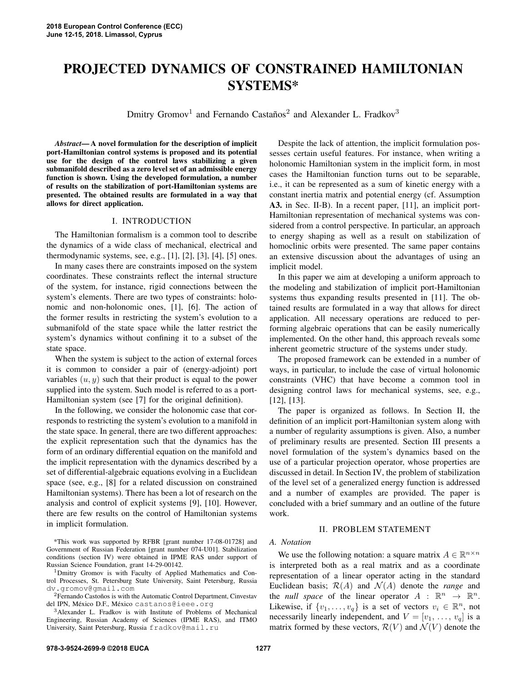# PROJECTED DYNAMICS OF CONSTRAINED HAMILTONIAN SYSTEMS\*

Dmitry Gromov<sup>1</sup> and Fernando Castaños<sup>2</sup> and Alexander L. Fradkov<sup>3</sup>

*Abstract*— A novel formulation for the description of implicit port-Hamiltonian control systems is proposed and its potential use for the design of the control laws stabilizing a given submanifold described as a zero level set of an admissible energy function is shown. Using the developed formulation, a number of results on the stabilization of port-Hamiltonian systems are presented. The obtained results are formulated in a way that allows for direct application.

### I. INTRODUCTION

The Hamiltonian formalism is a common tool to describe the dynamics of a wide class of mechanical, electrical and thermodynamic systems, see, e.g., [1], [2], [3], [4], [5] ones.

In many cases there are constraints imposed on the system coordinates. These constraints reflect the internal structure of the system, for instance, rigid connections between the system's elements. There are two types of constraints: holonomic and non-holonomic ones, [1], [6]. The action of the former results in restricting the system's evolution to a submanifold of the state space while the latter restrict the system's dynamics without confining it to a subset of the state space.

When the system is subject to the action of external forces it is common to consider a pair of (energy-adjoint) port variables  $(u, y)$  such that their product is equal to the power supplied into the system. Such model is referred to as a port-Hamiltonian system (see [7] for the original definition).

In the following, we consider the holonomic case that corresponds to restricting the system's evolution to a manifold in the state space. In general, there are two different approaches: the explicit representation such that the dynamics has the form of an ordinary differential equation on the manifold and the implicit representation with the dynamics described by a set of differential-algebraic equations evolving in a Euclidean space (see, e.g., [8] for a related discussion on constrained Hamiltonian systems). There has been a lot of research on the analysis and control of explicit systems [9], [10]. However, there are few results on the control of Hamiltonian systems in implicit formulation.

\*This work was supported by RFBR [grant number 17-08-01728] and Government of Russian Federation [grant number 074-U01]. Stabilization conditions (section IV) were obtained in IPME RAS under support of Russian Science Foundation, grant 14-29-00142.

<sup>1</sup>Dmitry Gromov is with Faculty of Applied Mathematics and Control Processes, St. Petersburg State University, Saint Petersburg, Russia dv.gromov@gmail.com

 ${}^{2}$ Fernando Castoños is with the Automatic Control Department, Cinvestav del IPN, México D.F., México castanos@ieee.org

<sup>3</sup>Alexander L. Fradkov is with Institute of Problems of Mechanical Engineering, Russian Academy of Sciences (IPME RAS), and ITMO University, Saint Petersburg, Russia fradkov@mail.ru

Despite the lack of attention, the implicit formulation possesses certain useful features. For instance, when writing a holonomic Hamiltonian system in the implicit form, in most cases the Hamiltonian function turns out to be separable, i.e., it can be represented as a sum of kinetic energy with a constant inertia matrix and potential energy (cf. Assumption A3. in Sec. II-B). In a recent paper, [11], an implicit port-Hamiltonian representation of mechanical systems was considered from a control perspective. In particular, an approach to energy shaping as well as a result on stabilization of homoclinic orbits were presented. The same paper contains an extensive discussion about the advantages of using an implicit model.

In this paper we aim at developing a uniform approach to the modeling and stabilization of implicit port-Hamiltonian systems thus expanding results presented in [11]. The obtained results are formulated in a way that allows for direct application. All necessary operations are reduced to performing algebraic operations that can be easily numerically implemented. On the other hand, this approach reveals some inherent geometric structure of the systems under study.

The proposed framework can be extended in a number of ways, in particular, to include the case of virtual holonomic constraints (VHC) that have become a common tool in designing control laws for mechanical systems, see, e.g., [12], [13].

The paper is organized as follows. In Section II, the definition of an implicit port-Hamiltonian system along with a number of regularity assumptions is given. Also, a number of preliminary results are presented. Section III presents a novel formulation of the system's dynamics based on the use of a particular projection operator, whose properties are discussed in detail. In Section IV, the problem of stabilization of the level set of a generalized energy function is addressed and a number of examples are provided. The paper is concluded with a brief summary and an outline of the future work.

## II. PROBLEM STATEMENT

## *A. Notation*

We use the following notation: a square matrix  $A \in \mathbb{R}^{n \times n}$ is interpreted both as a real matrix and as a coordinate representation of a linear operator acting in the standard Euclidean basis;  $\mathcal{R}(A)$  and  $\mathcal{N}(A)$  denote the *range* and the *null space* of the linear operator  $A : \mathbb{R}^n \to \mathbb{R}^n$ . Likewise, if  $\{v_1, \ldots, v_q\}$  is a set of vectors  $v_i \in \mathbb{R}^n$ , not necessarily linearly independent, and  $V = [v_1, \ldots, v_q]$  is a matrix formed by these vectors,  $\mathcal{R}(V)$  and  $\mathcal{N}(V)$  denote the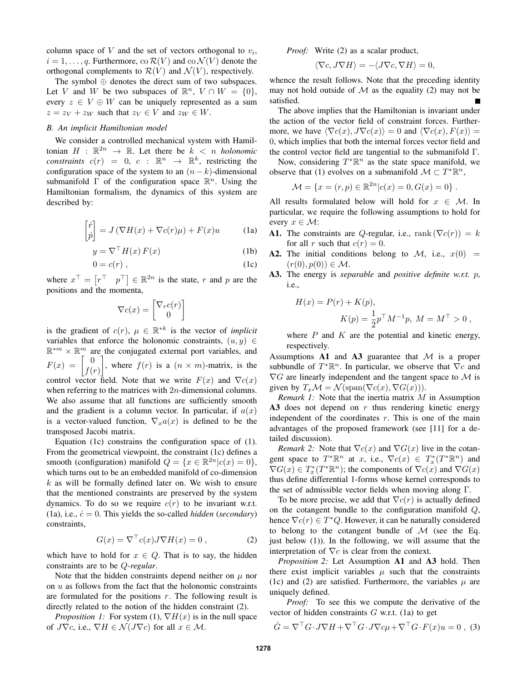column space of  $V$  and the set of vectors orthogonal to  $v_i$ ,  $i = 1, \ldots, q$ . Furthermore,  $\cos R(V)$  and  $\cos N(V)$  denote the orthogonal complements to  $\mathcal{R}(V)$  and  $\mathcal{N}(V)$ , respectively.

The symbol ⊕ denotes the direct sum of two subspaces. Let V and W be two subspaces of  $\mathbb{R}^n$ ,  $V \cap W = \{0\},\$ every  $z \in V \oplus W$  can be uniquely represented as a sum  $z = z_V + z_W$  such that  $z_V \in V$  and  $z_W \in W$ .

## *B. An implicit Hamiltonian model*

We consider a controlled mechanical system with Hamiltonian  $H : \mathbb{R}^{2n} \to \mathbb{R}$ . Let there be  $k < n$  *holonomic constraints*  $c(r) = 0, c : \mathbb{R}^n \to \mathbb{R}^k$ , restricting the configuration space of the system to an  $(n - k)$ -dimensional submanifold  $\Gamma$  of the configuration space  $\mathbb{R}^n$ . Using the Hamiltonian formalism, the dynamics of this system are described by:

$$
\begin{bmatrix} \dot{r} \\ \dot{p} \end{bmatrix} = J \left( \nabla H(x) + \nabla c(r)\mu \right) + F(x)u \tag{1a}
$$

$$
y = \nabla^{\top} H(x) F(x)
$$
 (1b)

$$
0 = c(r) , \t\t(1c)
$$

where  $x^{\top} = [r^{\top} \quad p^{\top}] \in \mathbb{R}^{2n}$  is the state, r and p are the positions and the momenta,

$$
\nabla c(x) = \begin{bmatrix} \nabla_r c(r) \\ 0 \end{bmatrix}
$$

is the gradient of  $c(r)$ ,  $\mu \in \mathbb{R}^{*k}$  is the vector of *implicit* variables that enforce the holonomic constraints,  $(u, y) \in$  $\mathbb{R}^{*m} \times \mathbb{R}^m$  are the conjugated external port variables, and  $F(x) = \begin{bmatrix} 0 \\ f(x) \end{bmatrix}$  $f(r)$ , where  $f(r)$  is a  $(n \times m)$ -matrix, is the control vector field. Note that we write  $F(x)$  and  $\nabla c(x)$ when referring to the matrices with  $2n$ -dimensional columns. We also assume that all functions are sufficiently smooth and the gradient is a column vector. In particular, if  $a(x)$ is a vector-valued function,  $\nabla_x a(x)$  is defined to be the transposed Jacobi matrix.

Equation (1c) constrains the configuration space of (1). From the geometrical viewpoint, the constraint (1c) defines a smooth (configuration) manifold  $Q = \{x \in \mathbb{R}^{2n} | c(x) = 0\},\$ which turns out to be an embedded manifold of co-dimension  $k$  as will be formally defined later on. We wish to ensure that the mentioned constraints are preserved by the system dynamics. To do so we require  $c(r)$  to be invariant w.r.t. (1a), i.e.,  $\dot{c} = 0$ . This yields the so-called *hidden* (*secondary*) constraints,

$$
G(x) = \nabla^{\top} c(x) J \nabla H(x) = 0 , \qquad (2)
$$

which have to hold for  $x \in Q$ . That is to say, the hidden constraints are to be Q*-regular*.

Note that the hidden constraints depend neither on  $\mu$  nor on  $u$  as follows from the fact that the holonomic constraints are formulated for the positions  $r$ . The following result is directly related to the notion of the hidden constraint (2).

*Proposition 1:* For system (1),  $\nabla H(x)$  is in the null space of  $J\nabla c$ , i.e.,  $\nabla H \in \mathcal{N}(J\nabla c)$  for all  $x \in \mathcal{M}$ .

*Proof:* Write (2) as a scalar product,

$$
\langle \nabla c, J \nabla H \rangle = -\langle J \nabla c, \nabla H \rangle = 0,
$$

whence the result follows. Note that the preceding identity may not hold outside of  $M$  as the equality (2) may not be satisfied.

The above implies that the Hamiltonian is invariant under the action of the vector field of constraint forces. Furthermore, we have  $\langle \nabla c(x), J\nabla c(x)\rangle = 0$  and  $\langle \nabla c(x), F(x)\rangle =$ 0, which implies that both the internal forces vector field and the control vector field are tangential to the submanifold  $\Gamma$ .

Now, considering  $T^*\mathbb{R}^n$  as the state space manifold, we observe that (1) evolves on a submanifold  $\mathcal{M} \subset T^*\mathbb{R}^n$ ,

$$
\mathcal{M} = \{x = (r, p) \in \mathbb{R}^{2n} | c(x) = 0, G(x) = 0 \}.
$$

All results formulated below will hold for  $x \in \mathcal{M}$ . In particular, we require the following assumptions to hold for every  $x \in \mathcal{M}$ :

- A1. The constraints are Q-regular, i.e., rank  $(\nabla c(r)) = k$ for all r such that  $c(r) = 0$ .
- A2. The initial conditions belong to  $\mathcal{M}$ , i.e.,  $x(0)$  =  $(r(0), p(0)) \in \mathcal{M}.$
- A3. The energy is *separable* and *positive definite w.r.t.* p, i.e.,

$$
H(x) = P(r) + K(p),
$$
  
\n
$$
K(p) = \frac{1}{2}p^{\top}M^{-1}p, M = M^{\top} > 0,
$$

where  $P$  and  $K$  are the potential and kinetic energy, respectively.

Assumptions  $\mathbf{A1}$  and  $\mathbf{A3}$  guarantee that M is a proper subbundle of  $T^*\mathbb{R}^n$ . In particular, we observe that  $\nabla c$  and  $\nabla G$  are linearly independent and the tangent space to M is given by  $T_x\mathcal{M} = \mathcal{N}(\text{span}(\nabla c(x), \nabla G(x))).$ 

*Remark 1:* Note that the inertia matrix M in Assumption A3 does not depend on  $r$  thus rendering kinetic energy independent of the coordinates  $r$ . This is one of the main advantages of the proposed framework (see [11] for a detailed discussion).

*Remark 2:* Note that  $\nabla c(x)$  and  $\nabla G(x)$  live in the cotangent space to  $T^*\mathbb{R}^n$  at x, i.e.,  $\nabla c(x) \in T^*_x(T^*\mathbb{R}^n)$  and  $\nabla G(x) \in T_x^*(T^*\mathbb{R}^n)$ ; the components of  $\nabla c(x)$  and  $\nabla G(x)$ thus define differential 1-forms whose kernel corresponds to the set of admissible vector fields when moving along Γ.

To be more precise, we add that  $\nabla c(r)$  is actually defined on the cotangent bundle to the configuration manifold  $Q$ , hence  $\nabla c(r) \in T^*Q$ . However, it can be naturally considered to belong to the cotangent bundle of  $M$  (see the Eq. just below  $(1)$ ). In the following, we will assume that the interpretation of  $\nabla c$  is clear from the context.

*Proposition 2:* Let Assumption A1 and A3 hold. Then there exist implicit variables  $\mu$  such that the constraints (1c) and (2) are satisfied. Furthermore, the variables  $\mu$  are uniquely defined.

*Proof:* To see this we compute the derivative of the vector of hidden constraints  $G$  w.r.t. (1a) to get

$$
\dot{G} = \nabla^{\top} G \cdot J \nabla H + \nabla^{\top} G \cdot J \nabla c \mu + \nabla^{\top} G \cdot F(x) u = 0 , \tag{3}
$$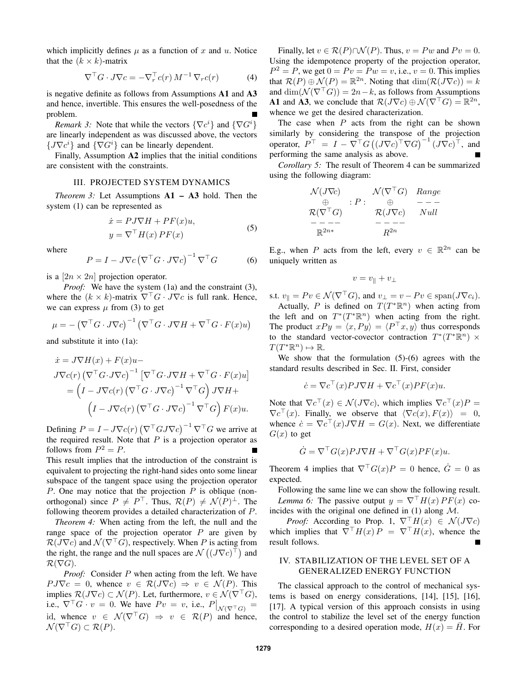which implicitly defines  $\mu$  as a function of x and u. Notice that the  $(k \times k)$ -matrix

$$
\nabla^{\top} G \cdot J \nabla c = - \nabla_r^{\top} c(r) \, M^{-1} \, \nabla_r c(r) \tag{4}
$$

is negative definite as follows from Assumptions A1 and A3 and hence, invertible. This ensures the well-posedness of the problem.

*Remark 3:* Note that while the vectors  $\{\nabla c^i\}$  and  $\{\nabla G^i\}$ are linearly independent as was discussed above, the vectors  $\{J\nabla c^i\}$  and  $\{\nabla G^i\}$  can be linearly dependent.

Finally, Assumption A2 implies that the initial conditions are consistent with the constraints.

## III. PROJECTED SYSTEM DYNAMICS

*Theorem 3:* Let Assumptions A1 – A3 hold. Then the system (1) can be represented as

$$
\begin{aligned} \dot{x} &= PJ\nabla H + PF(x)u, \\ y &= \nabla^{\top} H(x) \, PF(x) \end{aligned} \tag{5}
$$

where

$$
P = I - J\nabla c \left(\nabla^{\top} G \cdot J\nabla c\right)^{-1} \nabla^{\top} G \tag{6}
$$

is a  $[2n \times 2n]$  projection operator.

*Proof:* We have the system (1a) and the constraint (3), where the  $(k \times k)$ -matrix  $\nabla^{\top}G \cdot J \nabla c$  is full rank. Hence, we can express  $\mu$  from (3) to get

$$
\mu = -(\nabla^{\top} G \cdot J \nabla c)^{-1} (\nabla^{\top} G \cdot J \nabla H + \nabla^{\top} G \cdot F(x) u)
$$

and substitute it into (1a):

$$
\dot{x} = J \nabla H(x) + F(x)u -
$$
\n
$$
J \nabla c(r) (\nabla^{\top} G \cdot J \nabla c)^{-1} [\nabla^{\top} G \cdot J \nabla H + \nabla^{\top} G \cdot F(x)u]
$$
\n
$$
= \left( I - J \nabla c(r) (\nabla^{\top} G \cdot J \nabla c)^{-1} \nabla^{\top} G \right) J \nabla H +
$$
\n
$$
\left( I - J \nabla c(r) (\nabla^{\top} G \cdot J \nabla c)^{-1} \nabla^{\top} G \right) F(x)u.
$$

Defining  $P = I - J\nabla c(r) (\nabla^{\top} G J \nabla c)^{-1} \nabla^{\top} G$  we arrive at the required result. Note that  $P$  is a projection operator as follows from  $P^2 = P$ .

This result implies that the introduction of the constraint is equivalent to projecting the right-hand sides onto some linear subspace of the tangent space using the projection operator P. One may notice that the projection  $P$  is oblique (nonorthogonal) since  $P \neq P^{\top}$ . Thus,  $\mathcal{R}(P) \neq \mathcal{N}(P)^{\perp}$ . The following theorem provides a detailed characterization of P.

*Theorem 4:* When acting from the left, the null and the range space of the projection operator  $P$  are given by  $\mathcal{R}(J\nabla c)$  and  $\mathcal{N}(\nabla^{\dagger}G)$ , respectively. When P is acting from the right, the range and the null spaces are  $\mathcal{N}((J\nabla c)^\top)$  and  $\mathcal{R}(\nabla G).$ 

*Proof:* Consider P when acting from the left. We have  $PJ\nabla c = 0$ , whence  $v \in \mathcal{R}(J\nabla c) \Rightarrow v \in \mathcal{N}(P)$ . This implies  $\mathcal{R}(J\nabla c) \subset \mathcal{N}(P)$ . Let, furthermore,  $v \in \mathcal{N}(\nabla^{\top}G)$ , i.e.,  $\nabla^{\top} G \cdot v = 0$ . We have  $Pv = v$ , i.e.,  $P|_{\mathcal{N}(\nabla^{\top} G)} =$ id, whence  $v \in \mathcal{N}(\nabla^{\top}G) \Rightarrow v \in \mathcal{R}(P)$  and hence,  $\mathcal{N}(\nabla^{\top}G) \subset \mathcal{R}(P).$ 

Finally, let  $v \in \mathcal{R}(P) \cap \mathcal{N}(P)$ . Thus,  $v = P w$  and  $P v = 0$ . Using the idempotence property of the projection operator,  $P^2 = P$ , we get  $0 = Pv = Pw = v$ , i.e.,  $v = 0$ . This implies that  $\mathcal{R}(P) \oplus \mathcal{N}(P) = \mathbb{R}^{2n}$ . Noting that  $\dim(\mathcal{R}(J\nabla c)) = k$ and  $\dim(\mathcal{N}(\nabla^{\top}G)) = 2n-k$ , as follows from Assumptions **A1** and **A3**, we conclude that  $\mathcal{R}(J\nabla c) \oplus \mathcal{N}(\nabla^{\top}G) = \mathbb{R}^{2n}$ , whence we get the desired characterization.

The case when  $P$  acts from the right can be shown similarly by considering the transpose of the projection operator,  $P^{\top} = I - \nabla^{\top} G ((J \nabla c)^{\top} \nabla G)^{-1} (J \nabla c)^{\top}$ , and performing the same analysis as above.

*Corollary 5:* The result of Theorem 4 can be summarized using the following diagram:

$$
\mathcal{N}(J\nabla c) \oplus P: \mathcal{N}(\nabla^{\top}G) \quad Range \n\oplus P: \oplus - - - - \n\mathcal{R}(\nabla^{\top}G) \qquad \mathcal{R}(J\nabla c) \qquad Null \n- - - - - \n\mathbb{R}^{2n*} \qquad R^{2n}
$$

E.g., when P acts from the left, every  $v \in \mathbb{R}^{2n}$  can be uniquely written as

$$
v = v_{\parallel} + v_{\perp}
$$

s.t.  $v_{\parallel} = Pv \in \mathcal{N} (\nabla^{\top} G)$ , and  $v_{\perp} = v - Pv \in \text{span}(J\nabla c_i)$ .

Actually, P is defined on  $T(T^*\mathbb{R}^n)$  when acting from the left and on  $T^*(T^*\mathbb{R}^n)$  when acting from the right. The product  $xPy = \langle x, Py \rangle = \langle P^{\top}x, y \rangle$  thus corresponds to the standard vector-covector contraction  $T^*(T^*\mathbb{R}^n) \times$  $T(T^*\mathbb{R}^n) \mapsto \mathbb{R}.$ 

We show that the formulation (5)-(6) agrees with the standard results described in Sec. II. First, consider

$$
\dot{c} = \nabla c^{\top}(x) P J \nabla H + \nabla c^{\top}(x) P F(x) u.
$$

Note that  $\nabla c^{\top}(x) \in \mathcal{N}(J\nabla c)$ , which implies  $\nabla c^{\top}(x)P =$  $\nabla c^{\top}(x)$ . Finally, we observe that  $\langle \nabla c(x), F(x) \rangle = 0$ , whence  $\dot{c} = \nabla c^{\top}(x) J \nabla H = G(x)$ . Next, we differentiate  $G(x)$  to get

$$
\dot{G} = \nabla^{\top} G(x) P J \nabla H + \nabla^{\top} G(x) P F(x) u.
$$

Theorem 4 implies that  $\nabla^{\top}G(x)P = 0$  hence,  $\dot{G} = 0$  as expected.

Following the same line we can show the following result. *Lemma 6:* The passive output  $y = \nabla^{T} H(x) PF(x)$  coincides with the original one defined in  $(1)$  along  $M$ .

*Proof:* According to Prop. 1,  $\nabla$ <sup>T</sup> $H(x) \in \mathcal{N}(J\nabla c)$ which implies that  $\nabla^{\top}H(x) P = \nabla^{\top}H(x)$ , whence the result follows.

## IV. STABILIZATION OF THE LEVEL SET OF A GENERALIZED ENERGY FUNCTION

The classical approach to the control of mechanical systems is based on energy considerations, [14], [15], [16], [17]. A typical version of this approach consists in using the control to stabilize the level set of the energy function corresponding to a desired operation mode,  $H(x) = H$ . For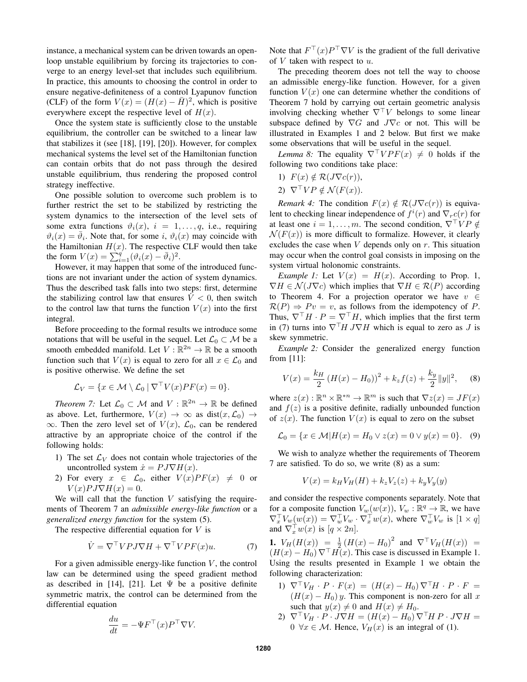instance, a mechanical system can be driven towards an openloop unstable equilibrium by forcing its trajectories to converge to an energy level-set that includes such equilibrium. In practice, this amounts to choosing the control in order to ensure negative-definiteness of a control Lyapunov function (CLF) of the form  $V(x) = (H(x) - \bar{H})^2$ , which is positive everywhere except the respective level of  $H(x)$ .

Once the system state is sufficiently close to the unstable equilibrium, the controller can be switched to a linear law that stabilizes it (see [18], [19], [20]). However, for complex mechanical systems the level set of the Hamiltonian function can contain orbits that do not pass through the desired unstable equilibrium, thus rendering the proposed control strategy ineffective.

One possible solution to overcome such problem is to further restrict the set to be stabilized by restricting the system dynamics to the intersection of the level sets of some extra functions  $\vartheta_i(x)$ ,  $i = 1, \ldots, q$ , i.e., requiring  $\vartheta_i(x) = \overline{\vartheta}_i$ . Note that, for some i,  $\vartheta_i(x)$  may coincide with the Hamiltonian  $H(x)$ . The respective CLF would then take the form  $V(x) = \sum_{i=1}^{q} (\vartheta_i(x) - \overline{\vartheta}_i)^2$ .

However, it may happen that some of the introduced functions are not invariant under the action of system dynamics. Thus the described task falls into two steps: first, determine the stabilizing control law that ensures  $\dot{V}$  < 0, then switch to the control law that turns the function  $V(x)$  into the first integral.

Before proceeding to the formal results we introduce some notations that will be useful in the sequel. Let  $\mathcal{L}_0 \subset \mathcal{M}$  be a smooth embedded manifold. Let  $V : \mathbb{R}^{2n} \to \mathbb{R}$  be a smooth function such that  $V(x)$  is equal to zero for all  $x \in \mathcal{L}_0$  and is positive otherwise. We define the set

$$
\mathcal{L}_V = \{ x \in \mathcal{M} \setminus \mathcal{L}_0 \mid \nabla^{\top} V(x) PF(x) = 0 \}.
$$

*Theorem 7:* Let  $\mathcal{L}_0 \subset \mathcal{M}$  and  $V : \mathbb{R}^{2n} \to \mathbb{R}$  be defined as above. Let, furthermore,  $V(x) \rightarrow \infty$  as  $dist(x, \mathcal{L}_0) \rightarrow$  $\infty$ . Then the zero level set of  $V(x)$ ,  $\mathcal{L}_0$ , can be rendered attractive by an appropriate choice of the control if the following holds:

- 1) The set  $\mathcal{L}_V$  does not contain whole trajectories of the uncontrolled system  $\dot{x} = P J \nabla H(x)$ .
- 2) For every  $x \in \mathcal{L}_0$ , either  $V(x)PF(x) \neq 0$  or  $V(x)$ PJ $\nabla H(x) = 0$ .

We will call that the function  $V$  satisfying the requirements of Theorem 7 an *admissible energy-like function* or a *generalized energy function* for the system (5).

The respective differential equation for  $V$  is

$$
\dot{V} = \nabla^{\top} V P J \nabla H + \nabla^{\top} V P F(x) u. \tag{7}
$$

For a given admissible energy-like function  $V$ , the control law can be determined using the speed gradient method as described in [14], [21]. Let  $\Psi$  be a positive definite symmetric matrix, the control can be determined from the differential equation

$$
\frac{du}{dt} = -\Psi F^{\top}(x)P^{\top}\nabla V.
$$

Note that  $F^{\top}(x)P^{\top}\nabla V$  is the gradient of the full derivative of  $V$  taken with respect to  $u$ .

The preceding theorem does not tell the way to choose an admissible energy-like function. However, for a given function  $V(x)$  one can determine whether the conditions of Theorem 7 hold by carrying out certain geometric analysis involving checking whether  $\nabla^{\top}V$  belongs to some linear subspace defined by  $\nabla G$  and  $J\nabla c$  or not. This will be illustrated in Examples 1 and 2 below. But first we make some observations that will be useful in the sequel.

*Lemma 8:* The equality  $\nabla^{\top} V P F(x) \neq 0$  holds if the following two conditions take place:

- 1)  $F(x) \notin \mathcal{R}(J\nabla c(r)),$
- 2)  $\nabla^{\top} VP \notin \mathcal{N}(F(x)).$

*Remark 4:* The condition  $F(x) \notin \mathcal{R}(J\nabla c(r))$  is equivalent to checking linear independence of  $f^i(r)$  and  $\nabla_r c(r)$  for at least one  $i = 1, \ldots, m$ . The second condition,  $\nabla^{\top} VP \notin$  $\mathcal{N}(F(x))$  is more difficult to formalize. However, it clearly excludes the case when  $V$  depends only on  $r$ . This situation may occur when the control goal consists in imposing on the system virtual holonomic constraints.

*Example 1:* Let  $V(x) = H(x)$ . According to Prop. 1,  $\nabla H \in \mathcal{N}(J\nabla c)$  which implies that  $\nabla H \in \mathcal{R}(P)$  according to Theorem 4. For a projection operator we have  $v \in$  $\mathcal{R}(P) \Rightarrow Pv = v$ , as follows from the idempotency of P. Thus,  $\nabla^{\top} H \cdot P = \nabla^{\top} H$ , which implies that the first term in (7) turns into  $\nabla$ <sup>T</sup>H J $\nabla$ H which is equal to zero as J is skew symmetric.

*Example 2:* Consider the generalized energy function from [11]:

$$
V(x) = \frac{k_H}{2} \left( H(x) - H_0 \right)^2 + k_z f(z) + \frac{k_y}{2} ||y||^2, \quad (8)
$$

where  $z(x): \mathbb{R}^n \times \mathbb{R}^{n} \to \mathbb{R}^m$  is such that  $\nabla z(x) = JF(x)$ and  $f(z)$  is a positive definite, radially unbounded function of  $z(x)$ . The function  $V(x)$  is equal to zero on the subset

$$
\mathcal{L}_0 = \{ x \in \mathcal{M} | H(x) = H_0 \vee z(x) = 0 \vee y(x) = 0 \}. \tag{9}
$$

We wish to analyze whether the requirements of Theorem 7 are satisfied. To do so, we write (8) as a sum:

$$
V(x) = k_H V_H(H) + k_z V_z(z) + k_y V_y(y)
$$

and consider the respective components separately. Note that for a composite function  $V_w(w(x))$ ,  $V_w : \mathbb{R}^q \to \mathbb{R}$ , we have  $\nabla_x^{\top} V_w(w(x)) = \nabla_w^{\top} V_w \cdot \nabla_x^{\top} w(x)$ , where  $\nabla_w^{\top} V_w$  is  $[1 \times q]$ and  $\nabla_x^{\top} w(x)$  is  $[q \times 2n]$ .

1.  $V_H(H(x)) = \frac{1}{2} (H(x) - H_0)^2$  and  $\nabla^{\top} V_H(H(x)) =$  $(H(x) - H_0) \nabla^{\top} H(x)$ . This case is discussed in Example 1. Using the results presented in Example 1 we obtain the following characterization:

- 1)  $\nabla^{\top}V_H \cdot P \cdot F(x) = (H(x) H_0) \nabla^{\top}H \cdot P \cdot F =$  $(H(x) - H_0)$  y. This component is non-zero for all x such that  $y(x) \neq 0$  and  $H(x) \neq H_0$ .
- 2)  $\nabla^{\top}V_H \cdot P \cdot J \nabla H = (H(x) H_0) \nabla^{\top} H P \cdot J \nabla H =$  $0 \ \forall x \in \mathcal{M}$ . Hence,  $V_H(x)$  is an integral of (1).